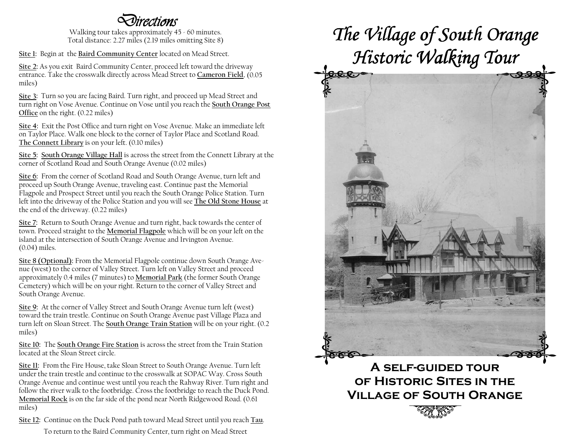## Directions

 Walking tour takes approximately 45 - 60 minutes. Total distance: 2.27 miles (2.19 miles omitting Site 8)

Site 1: Begin at the Baird Community Center located on Mead Street.

Site 2: As you exit Baird Community Center, proceed left toward the driveway entrance. Take the crosswalk directly across Mead Street to Cameron Field. (0.05 miles)

Site 3: Turn so you are facing Baird. Turn right, and proceed up Mead Street and turn right on Vose Avenue. Continue on Vose until you reach the South Orange Post Office on the right. (0.22 miles)

Site 4: Exit the Post Office and turn right on Vose Avenue. Make an immediate left on Taylor Place. Walk one block to the corner of Taylor Place and Scotland Road. The Connett Library is on your left. (0.10 miles)

Site 5: South Orange Village Hall is across the street from the Connett Library at the corner of Scotland Road and South Orange Avenue (0.02 miles)

Site 6: From the corner of Scotland Road and South Orange Avenue, turn left and proceed up South Orange Avenue, traveling east. Continue past the Memorial Flagpole and Prospect Street until you reach the South Orange Police Station. Turn left into the driveway of the Police Station and you will see <u>The Old Stone House</u> at the end of the driveway. (0.22 miles)

Site 7: Return to South Orange Avenue and turn right, back towards the center of town. Proceed straight to the <u>Memorial Flagpole</u> which will be on your left on the island at the intersection of South Orange Avenue and Irvington Avenue. (0.04) miles.

Site 8 (Optional): From the Memorial Flagpole continue down South Orange Avenue (west) to the corner of Valley Street. Turn left on Valley Street and proceed approximately 0.4 miles (7 minutes) to <u>Memorial Park</u> (the former South Orange Cemetery) which will be on your right. Return to the corner of Valley Street and South Orange Avenue.

Site 9: At the corner of Valley Street and South Orange Avenue turn left (west) toward the train trestle. Continue on South Orange Avenue past Village Plaza and turn left on Sloan Street. The <u>South Orange Train Station</u> will be on your right. (0.2) miles)

Site 10: The South Orange Fire Station is across the street from the Train Station located at the Sloan Street circle.

Site 11: From the Fire House, take Sloan Street to South Orange Avenue. Turn left under the train trestle and continue to the crosswalk at SOPAC Way. Cross South Orange Avenue and continue west until you reach the Rahway River. Turn right and follow the river walk to the footbridge. Cross the footbridge to reach the Duck Pond. Memorial Rock is on the far side of the pond near North Ridgewood Road. (0.61) miles)

Site 12: Continue on the Duck Pond path toward Mead Street until you reach Tau. To return to the Baird Community Center, turn right on Mead Street

# The Village of South Orange Historic Walking Tour



A self-guided tour of Historic Sites in the Village of South Orange

**2007 SEPTEMBER 2007 STATES PROPERTY AND RESPONSE TO AN INCORPORATION CONTINUES.**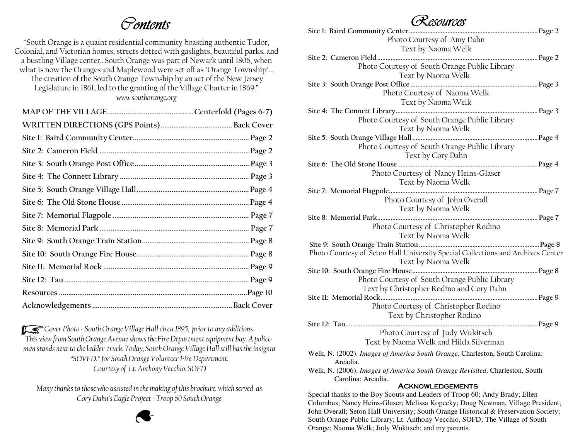## Contents

"South Orange is a quaint residential community boasting authentic Tudor, Colonial, and Victorian homes, streets dotted with gaslights, beautiful parks, and a bustling Village center…South Orange was part of Newark until 1806, when what is now the Oranges and Maplewood were set off as "Orange Township"…

The creation of the South Orange Township by an act of the New Jersey Legislature in 1861, led to the granting of the Village Charter in 1869." www.southorange.org

Cover Photo - South Orange Village Hall circa 1895, prior to any additions. This view from South Orange Avenue shows the Fire Department equipment bay. A policeman stands next to the ladder truck. Today, South Orange Village Hall still has the insignia "SOVFD," for South Orange Volunteer Fire Department. Courtesy of Lt. Anthony Vecchio, SOFD  $\mathcal{T}$  is here in the second Tau is here in the second Tau is here in the second  $\mathcal{T}$ 

> Many thanks to those who assisted in the making of this brochure, which served as Cory Dahn's Eagle Project - Troop 60 South Orange

## Resources

| $\cup$ Novarioo                                                                      |  |
|--------------------------------------------------------------------------------------|--|
|                                                                                      |  |
| Photo Courtesy of Amy Dahn                                                           |  |
| Text by Naoma Welk                                                                   |  |
|                                                                                      |  |
| Photo Courtesy of South Orange Public Library                                        |  |
| Text by Naoma Welk                                                                   |  |
|                                                                                      |  |
|                                                                                      |  |
| Photo Courtesy of Naoma Welk                                                         |  |
| Text by Naoma Welk                                                                   |  |
|                                                                                      |  |
| Photo Courtesy of South Orange Public Library                                        |  |
| Text by Naoma Welk                                                                   |  |
|                                                                                      |  |
|                                                                                      |  |
| Photo Courtesy of South Orange Public Library                                        |  |
| Text by Cory Dahn                                                                    |  |
|                                                                                      |  |
| Photo Courtesy of Nancy Heins-Glaser                                                 |  |
| Text by Naoma Welk                                                                   |  |
|                                                                                      |  |
| Photo Courtesy of John Overall                                                       |  |
|                                                                                      |  |
| Text by Naoma Welk                                                                   |  |
|                                                                                      |  |
| Photo Courtesy of Christopher Rodino                                                 |  |
| Text by Naoma Welk                                                                   |  |
|                                                                                      |  |
| Photo Courtesy of Seton Hall University Special Collections and Archives Center      |  |
| Text by Naoma Welk                                                                   |  |
|                                                                                      |  |
|                                                                                      |  |
| Photo Courtesy of South Orange Public Library                                        |  |
| Text by Christopher Rodino and Cory Dahn                                             |  |
|                                                                                      |  |
| Photo Courtesy of Christopher Rodino                                                 |  |
| Text by Christopher Rodino                                                           |  |
|                                                                                      |  |
|                                                                                      |  |
| Photo Courtesy of Judy Wukitsch                                                      |  |
| Text by Naoma Welk and Hilda Silverman                                               |  |
| Welk, N. (2002). Images of America South Orange. Charleston, South Carolina:         |  |
| Arcadia.                                                                             |  |
| Welk, N. (2006). Images of America South Orange Revisited. Charleston, South         |  |
| Carolina: Arcadia.                                                                   |  |
|                                                                                      |  |
| <b>ACKNOWLEDGEMENTS</b>                                                              |  |
| Special thanks to the Boy Scouts and Leaders of Troop 60; Andy Brady; Ellen          |  |
| Columbus; Nancy Heins-Glaser; Melissa Kopecky; Doug Newman, Village President;       |  |
| John Overall; Seton Hall University; South Orange Historical & Preservation Society; |  |
| South Orange Public Library; Lt. Anthony Vecchio, SOFD; The Village of South         |  |

Orange; Naoma Welk; Judy Wukitsch; and my parents.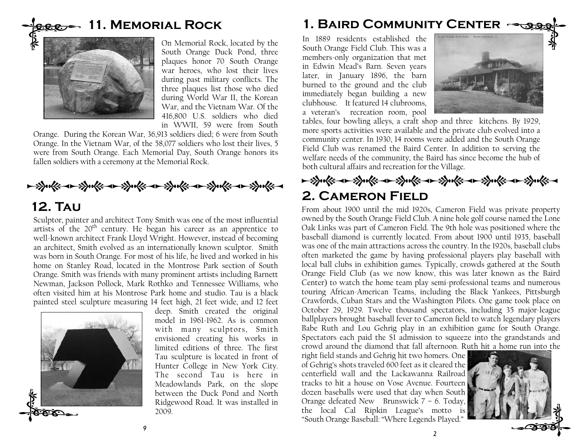## <del>eee -</del> 11. Memorial Rock



On Memorial Rock, located by the South Orange Duck Pond, three plaques honor 70 South Orange war heroes, who lost their lives during past military conflicts. The three plaques list those who died during World War II, the Korean War, and the Vietnam War. Of the 416,800 U.S. soldiers who died in WWII, 59 were from South

 Orange. During the Korean War, 36,913 soldiers died; 6 were from South Orange. In the Vietnam War, of the 58,077 soldiers who lost their lives, 5 were from South Orange. Each Memorial Day, South Orange honors its fallen soldiers with a ceremony at the Memorial Rock.



## 12. Tau

Sculptor, painter and architect Tony Smith was one of the most influential artists of the 20<sup>th</sup> century. He began his career as an apprentice to well-known architect Frank Lloyd Wright. However, instead of becoming an architect, Smith evolved as an internationally known sculptor. Smith was born in South Orange. For most of his life, he lived and worked in his home on Stanley Road, located in the Montrose Park section of South Orange. Smith was friends with many prominent artists including Barnett Newman, Jackson Pollock, Mark Rothko and Tennessee Williams, who often visited him at his Montrose Park home and studio. Tau is a black painted steel sculpture measuring 14 feet high, 21 feet wide, and 12 feet



deep. Smith created the original model in 1961-1962. As is common with many sculptors, Smith envisioned creating his works in limited editions of three. The first Tau sculpture is located in front of Hunter College in New York City. The second Tau is here in Meadowlands Park, on the slope between the Duck Pond and North Ridgewood Road. It was installed in 2009.

## 1. Baird Community Center

In 1889 residents established the South Orange Field Club. This was a members-only organization that met in Edwin Mead's Barn. Seven years later, in January 1896, the barn burned to the ground and the club immediately began building a new clubhouse. It featured 14 clubrooms, a veteran's recreation room, pool



tables, four bowling alleys, a craft shop and three kitchens. By 1929, more sports activities were available and the private club evolved into a community center. In 1930, 14 rooms were added and the South Orange Field Club was renamed the Baird Center. In addition to serving the welfare needs of the community, the Baird has since become the hub of both cultural affairs and recreation for the Village.

<del>- 沙ols - 沙ols - 沙ols - 沙ols - 沙ols - 沙ols -</del><br>2. CAMERON FIELD

From about 1900 until the mid 1920s, Cameron Field was private property owned by the South Orange Field Club. A nine hole golf course named the Lone Oak Links was part of Cameron Field. The 9th hole was positioned where the baseball diamond is currently located. From about 1900 until 1935, baseball was one of the main attractions across the country. In the 1920s, baseball clubs often marketed the game by having professional players play baseball with local ball clubs in exhibition games. Typically, crowds gathered at the South Orange Field Club (as we now know, this was later known as the Baird Center) to watch the home team play semi-professional teams and numerous touring African-American Teams, including the Black Yankees, Pittsburgh Crawfords, Cuban Stars and the Washington Pilots. One game took place on October 29, 1929. Twelve thousand spectators, including 35 major-league ballplayers brought baseball fever to Cameron field to watch legendary players Babe Ruth and Lou Gehrig play in an exhibition game for South Orange. Spectators each paid the \$1 admission to squeeze into the grandstands and crowd around the diamond that fall afternoon. Ruth hit a home run into the

right field stands and Gehrig hit two homers. One of Gehrig's shots traveled 600 feet as it cleared the centerfield wall and the Lackawanna Railroad tracks to hit a house on Vose Avenue. Fourteen dozen baseballs were used that day when South Orange defeated New Brunswick 7 – 6. Today, the local Cal Ripkin League's motto is "South Orange Baseball: "Where Legends Played."

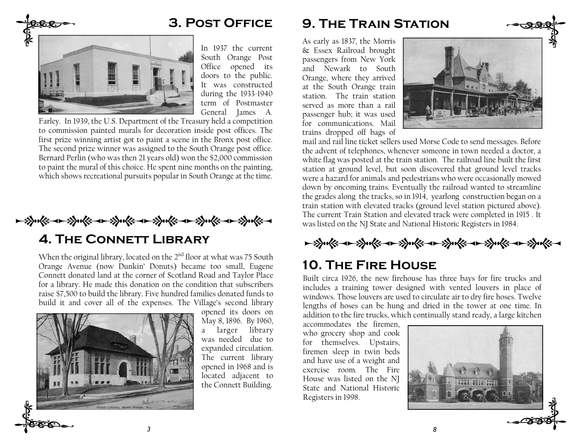

3. Post Office

 South Orange Post Office opened its doors to the public. It was constructed during the 1933-1940 term of Postmaster General James A.

Farley. In 1939, the U.S. Department of the Treasury held a competition to commission painted murals for decoration inside post offices. The first prize winning artist got to paint a scene in the Bronx post office. The second prize winner was assigned to the South Orange post office. Bernard Perlin (who was then 21 years old) won the \$2,000 commission to paint the mural of this choice. He spent nine months on the painting, which shows recreational pursuits popular in South Orange at the time.

MNMNMNMNMNMN

4. The Connett Library

When the original library, located on the  $2<sup>nd</sup>$  floor at what was 75 South Orange Avenue (now Dunkin' Donuts) became too small, Eugene Connett donated land at the corner of Scotland Road and Taylor Place for a library. He made this donation on the condition that subscribers raise \$7,500 to build the library. Five hundred families donated funds to build it and cover all of the expenses. The Village's second library

3



opened its doors on May 8, 1896. By 1960, a larger library was needed due to expanded circulation. The current library opened in 1968 and is located adjacent to the Connett Building.

#### 9. The Train Station

As early as 1837, the Morris & Essex Railroad brought passengers from New York and Newark to South Orange, where they arrived at the South Orange train station. The train station served as more than a rail passenger hub; it was used for communications. Mail trains dropped off bags of



mail and rail line ticket sellers used Morse Code to send messages. Before the advent of telephones, whenever someone in town needed a doctor, a white flag was posted at the train station. The railroad line built the first station at ground level, but soon discovered that ground level tracks were a hazard for animals and pedestrians who were occasionally mowed down by oncoming trains. Eventually the railroad wanted to streamline the grades along the tracks, so in 1914, yearlong construction began on a train station with elevated tracks (ground level station pictured above). The current Train Station and elevated track were completed in 1915 . It was listed on the NJ State and National Historic Registers in 1984.

→ 3) 天下→ 3) 天下→ 3) 天下→ 3) 天下→ 3) 天下→ 3) 天下→

## 10. The Fire House

Built circa 1926, the new firehouse has three bays for fire trucks and includes a training tower designed with vented louvers in place of windows. Those louvers are used to circulate air to dry fire hoses. Twelve lengths of hoses can be hung and dried in the tower at one time. In addition to the fire trucks, which continually stand ready, a large kitchen

8

accommodates the firemen, who grocery shop and cook for themselves. Upstairs, firemen sleep in twin beds and have use of a weight and exercise room. The Fire House was listed on the NJ State and National Historic Registers in 1998.

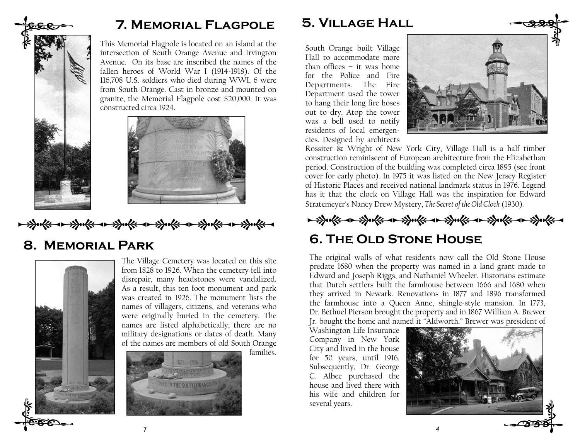

## 7. Memorial Flagpole

This Memorial Flagpole is located on an island at the intersection of South Orange Avenue and Irvington Avenue. On its base are inscribed the names of the fallen heroes of World War I (1914-1918). Of the 116,708 U.S. soldiers who died during WWI, 6 were from South Orange. Cast in bronze and mounted on granite, the Memorial Flagpole cost \$20,000. It was constructed circa 1924.



MNMNMNMNMNMN

7

### 8. Memorial Park



The Village Cemetery was located on this site from 1828 to 1926. When the cemetery fell into disrepair, many headstones were vandalized. As a result, this ten foot monument and park was created in 1926. The monument lists the names of villagers, citizens, and veterans who were originally buried in the cemetery. The names are listed alphabetically; there are no military designations or dates of death. Many of the names are members of old South Orange

families.



5. Village Hall

South Orange built Village Hall to accommodate more than offices – it was home for the Police and Fire Departments. The Fire Department used the tower to hang their long fire hoses out to dry. Atop the tower was a bell used to notify residents of local emergencies. Designed by architects



Rossiter & Wright of New York City, Village Hall is a half timber construction reminiscent of European architecture from the Elizabethan period. Construction of the building was completed circa 1895 (see front cover for early photo). In 1975 it was listed on the New Jersey Register of Historic Places and received national landmark status in 1976. Legend has it that the clock on Village Hall was the inspiration for Edward Stratemeyer's Nancy Drew Mystery, The Secret of the Old Clock (1930).



## 6. The Old Stone House

The original walls of what residents now call the Old Stone House predate 1680 when the property was named in a land grant made to Edward and Joseph Riggs, and Nathaniel Wheeler. Historians estimate that Dutch settlers built the farmhouse between 1666 and 1680 when they arrived in Newark. Renovations in 1877 and 1896 transformed the farmhouse into a Queen Anne, shingle-style mansion. In 1773, Dr. Bethuel Pierson brought the property and in 1867 William A. Brewer Jr. bought the home and named it "Aldworth." Brewer was president of

Washington Life Insurance Company in New York City and lived in the house for 50 years, until 1916. Subsequently, Dr. George C. Albee purchased the house and lived there with his wife and children for several years.